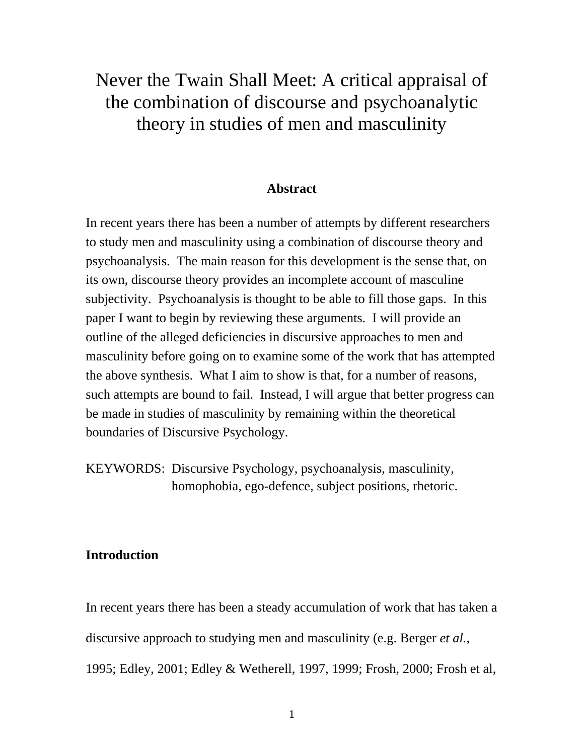# Never the Twain Shall Meet: A critical appraisal of the combination of discourse and psychoanalytic theory in studies of men and masculinity

## **Abstract**

In recent years there has been a number of attempts by different researchers to study men and masculinity using a combination of discourse theory and psychoanalysis. The main reason for this development is the sense that, on its own, discourse theory provides an incomplete account of masculine subjectivity. Psychoanalysis is thought to be able to fill those gaps. In this paper I want to begin by reviewing these arguments. I will provide an outline of the alleged deficiencies in discursive approaches to men and masculinity before going on to examine some of the work that has attempted the above synthesis. What I aim to show is that, for a number of reasons, such attempts are bound to fail. Instead, I will argue that better progress can be made in studies of masculinity by remaining within the theoretical boundaries of Discursive Psychology.

KEYWORDS: Discursive Psychology, psychoanalysis, masculinity, homophobia, ego-defence, subject positions, rhetoric.

# **Introduction**

In recent years there has been a steady accumulation of work that has taken a discursive approach to studying men and masculinity (e.g. Berger *et al.*, 1995; Edley, 2001; Edley & Wetherell, 1997, 1999; Frosh, 2000; Frosh et al,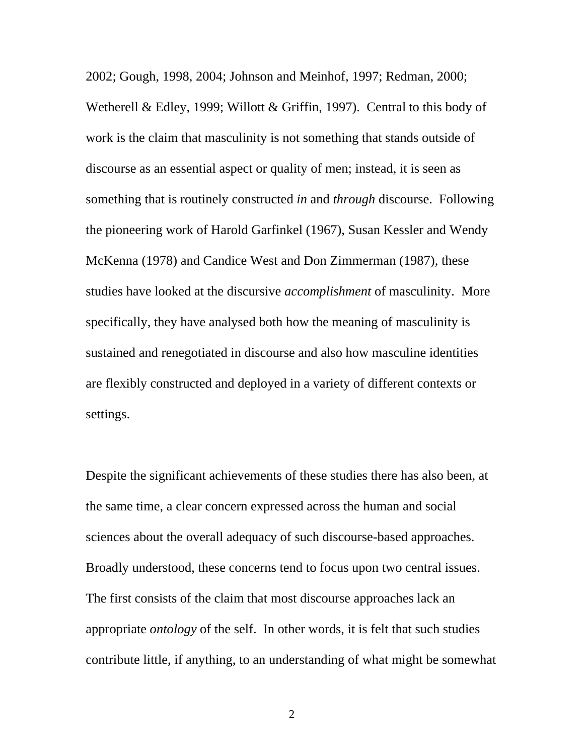2002; Gough, 1998, 2004; Johnson and Meinhof, 1997; Redman, 2000; Wetherell & Edley, 1999; Willott & Griffin, 1997). Central to this body of work is the claim that masculinity is not something that stands outside of discourse as an essential aspect or quality of men; instead, it is seen as something that is routinely constructed *in* and *through* discourse. Following the pioneering work of Harold Garfinkel (1967), Susan Kessler and Wendy McKenna (1978) and Candice West and Don Zimmerman (1987), these studies have looked at the discursive *accomplishment* of masculinity. More specifically, they have analysed both how the meaning of masculinity is sustained and renegotiated in discourse and also how masculine identities are flexibly constructed and deployed in a variety of different contexts or settings.

Despite the significant achievements of these studies there has also been, at the same time, a clear concern expressed across the human and social sciences about the overall adequacy of such discourse-based approaches. Broadly understood, these concerns tend to focus upon two central issues. The first consists of the claim that most discourse approaches lack an appropriate *ontology* of the self. In other words, it is felt that such studies contribute little, if anything, to an understanding of what might be somewhat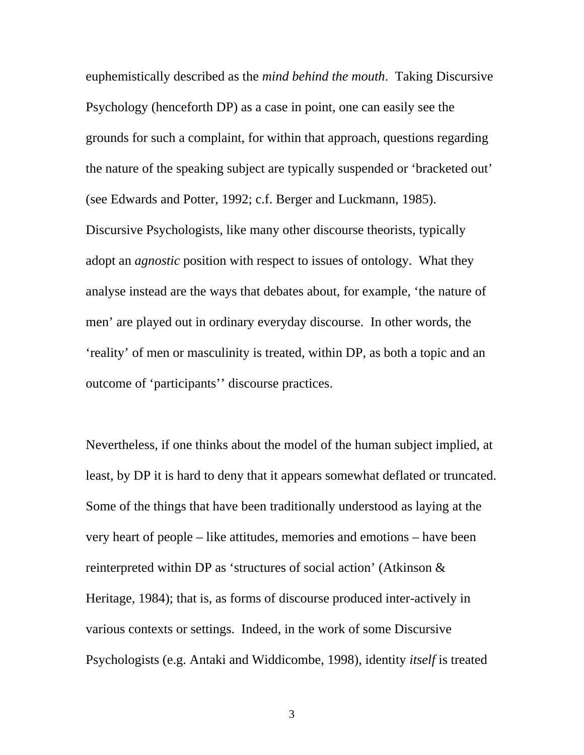euphemistically described as the *mind behind the mouth*. Taking Discursive Psychology (henceforth DP) as a case in point, one can easily see the grounds for such a complaint, for within that approach, questions regarding the nature of the speaking subject are typically suspended or 'bracketed out' (see Edwards and Potter, 1992; c.f. Berger and Luckmann, 1985). Discursive Psychologists, like many other discourse theorists, typically adopt an *agnostic* position with respect to issues of ontology. What they analyse instead are the ways that debates about, for example, 'the nature of men' are played out in ordinary everyday discourse. In other words, the 'reality' of men or masculinity is treated, within DP, as both a topic and an outcome of 'participants'' discourse practices.

Nevertheless, if one thinks about the model of the human subject implied, at least, by DP it is hard to deny that it appears somewhat deflated or truncated. Some of the things that have been traditionally understood as laying at the very heart of people – like attitudes, memories and emotions – have been reinterpreted within DP as 'structures of social action' (Atkinson & Heritage, 1984); that is, as forms of discourse produced inter-actively in various contexts or settings. Indeed, in the work of some Discursive Psychologists (e.g. Antaki and Widdicombe, 1998), identity *itself* is treated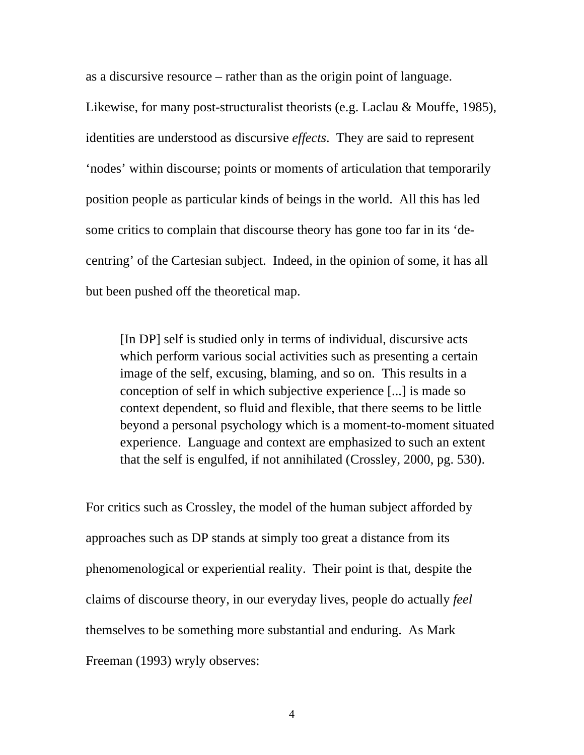as a discursive resource – rather than as the origin point of language.

Likewise, for many post-structuralist theorists (e.g. Laclau & Mouffe, 1985), identities are understood as discursive *effects*. They are said to represent 'nodes' within discourse; points or moments of articulation that temporarily position people as particular kinds of beings in the world. All this has led some critics to complain that discourse theory has gone too far in its 'decentring' of the Cartesian subject. Indeed, in the opinion of some, it has all but been pushed off the theoretical map.

[In DP] self is studied only in terms of individual, discursive acts which perform various social activities such as presenting a certain image of the self, excusing, blaming, and so on. This results in a conception of self in which subjective experience [...] is made so context dependent, so fluid and flexible, that there seems to be little beyond a personal psychology which is a moment-to-moment situated experience. Language and context are emphasized to such an extent that the self is engulfed, if not annihilated (Crossley, 2000, pg. 530).

For critics such as Crossley, the model of the human subject afforded by approaches such as DP stands at simply too great a distance from its phenomenological or experiential reality. Their point is that, despite the claims of discourse theory, in our everyday lives, people do actually *feel* themselves to be something more substantial and enduring. As Mark Freeman (1993) wryly observes: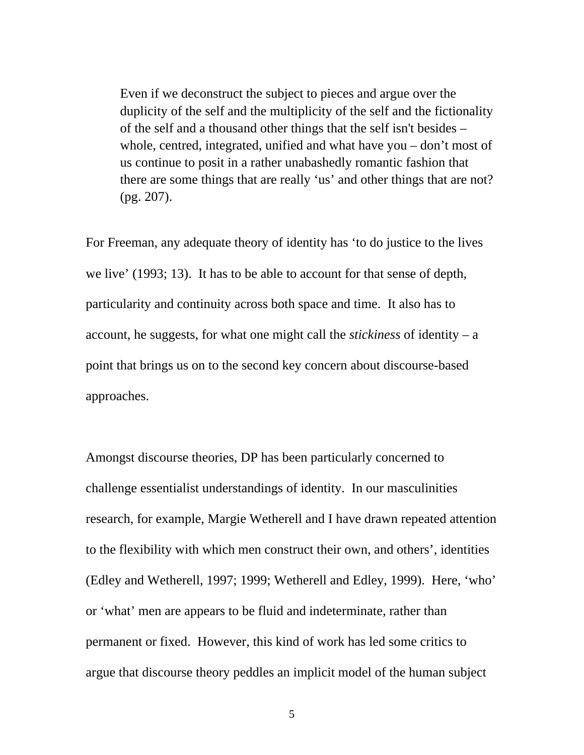Even if we deconstruct the subject to pieces and argue over the duplicity of the self and the multiplicity of the self and the fictionality of the self and a thousand other things that the self isn't besides – whole, centred, integrated, unified and what have you – don't most of us continue to posit in a rather unabashedly romantic fashion that there are some things that are really 'us' and other things that are not? (pg. 207).

For Freeman, any adequate theory of identity has 'to do justice to the lives we live' (1993; 13). It has to be able to account for that sense of depth, particularity and continuity across both space and time. It also has to account, he suggests, for what one might call the *stickiness* of identity – a point that brings us on to the second key concern about discourse-based approaches.

Amongst discourse theories, DP has been particularly concerned to challenge essentialist understandings of identity. In our masculinities research, for example, Margie Wetherell and I have drawn repeated attention to the flexibility with which men construct their own, and others', identities (Edley and Wetherell, 1997; 1999; Wetherell and Edley, 1999). Here, 'who' or 'what' men are appears to be fluid and indeterminate, rather than permanent or fixed. However, this kind of work has led some critics to argue that discourse theory peddles an implicit model of the human subject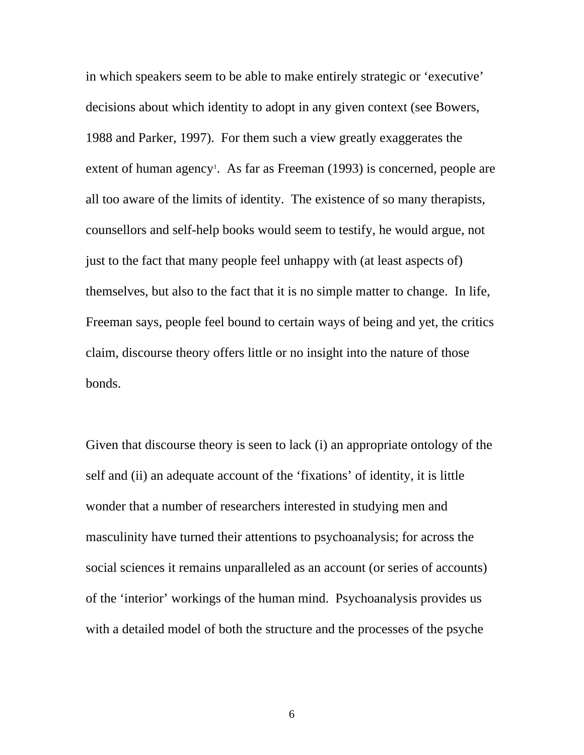in which speakers seem to be able to make entirely strategic or 'executive' decisions about which identity to adopt in any given context (see Bowers, 1988 and Parker, 1997). For them such a view greatly exaggerates the extent of human agency<sup>1</sup>. As far as Freeman (1993) is concerned, people are all too aware of the limits of identity. The existence of so many therapists, counsellors and self-help books would seem to testify, he would argue, not just to the fact that many people feel unhappy with (at least aspects of) themselves, but also to the fact that it is no simple matter to change. In life, Freeman says, people feel bound to certain ways of being and yet, the critics claim, discourse theory offers little or no insight into the nature of those bonds.

Given that discourse theory is seen to lack (i) an appropriate ontology of the self and (ii) an adequate account of the 'fixations' of identity, it is little wonder that a number of researchers interested in studying men and masculinity have turned their attentions to psychoanalysis; for across the social sciences it remains unparalleled as an account (or series of accounts) of the 'interior' workings of the human mind. Psychoanalysis provides us with a detailed model of both the structure and the processes of the psyche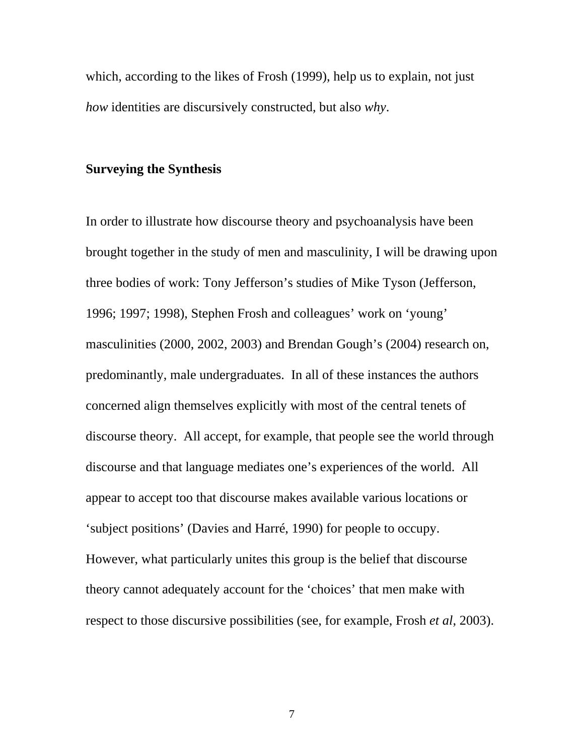which, according to the likes of Frosh (1999), help us to explain, not just *how* identities are discursively constructed, but also *why*.

# **Surveying the Synthesis**

In order to illustrate how discourse theory and psychoanalysis have been brought together in the study of men and masculinity, I will be drawing upon three bodies of work: Tony Jefferson's studies of Mike Tyson (Jefferson, 1996; 1997; 1998), Stephen Frosh and colleagues' work on 'young' masculinities (2000, 2002, 2003) and Brendan Gough's (2004) research on, predominantly, male undergraduates. In all of these instances the authors concerned align themselves explicitly with most of the central tenets of discourse theory. All accept, for example, that people see the world through discourse and that language mediates one's experiences of the world. All appear to accept too that discourse makes available various locations or 'subject positions' (Davies and Harré, 1990) for people to occupy. However, what particularly unites this group is the belief that discourse theory cannot adequately account for the 'choices' that men make with respect to those discursive possibilities (see, for example, Frosh *et al*, 2003).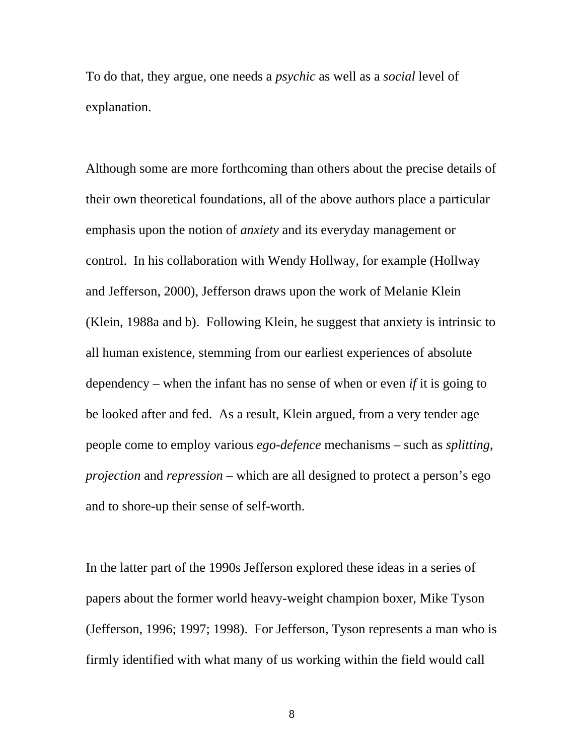To do that, they argue, one needs a *psychic* as well as a *social* level of explanation.

Although some are more forthcoming than others about the precise details of their own theoretical foundations, all of the above authors place a particular emphasis upon the notion of *anxiety* and its everyday management or control. In his collaboration with Wendy Hollway, for example (Hollway and Jefferson, 2000), Jefferson draws upon the work of Melanie Klein (Klein, 1988a and b). Following Klein, he suggest that anxiety is intrinsic to all human existence, stemming from our earliest experiences of absolute dependency – when the infant has no sense of when or even *if* it is going to be looked after and fed. As a result, Klein argued, from a very tender age people come to employ various *ego-defence* mechanisms – such as *splitting*, *projection* and *repression* – which are all designed to protect a person's ego and to shore-up their sense of self-worth.

In the latter part of the 1990s Jefferson explored these ideas in a series of papers about the former world heavy-weight champion boxer, Mike Tyson (Jefferson, 1996; 1997; 1998). For Jefferson, Tyson represents a man who is firmly identified with what many of us working within the field would call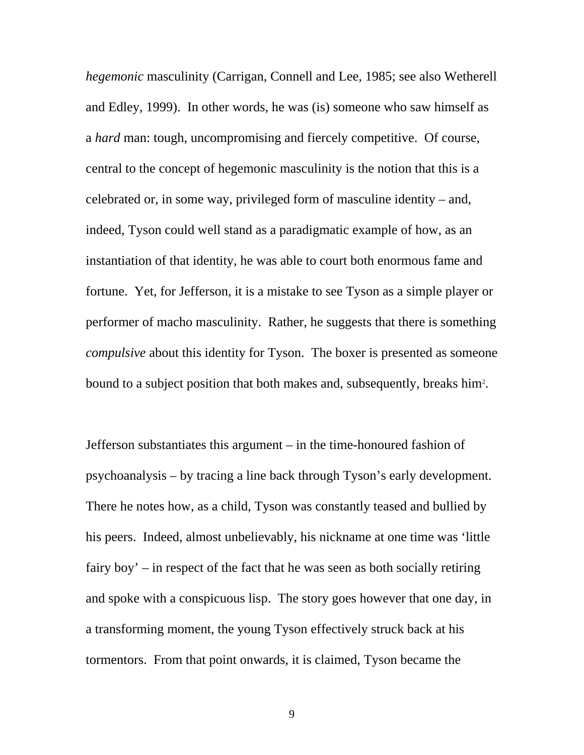*hegemonic* masculinity (Carrigan, Connell and Lee, 1985; see also Wetherell and Edley, 1999). In other words, he was (is) someone who saw himself as a *hard* man: tough, uncompromising and fiercely competitive. Of course, central to the concept of hegemonic masculinity is the notion that this is a celebrated or, in some way, privileged form of masculine identity – and, indeed, Tyson could well stand as a paradigmatic example of how, as an instantiation of that identity, he was able to court both enormous fame and fortune. Yet, for Jefferson, it is a mistake to see Tyson as a simple player or performer of macho masculinity. Rather, he suggests that there is something *compulsive* about this identity for Tyson. The boxer is presented as someone bound to a subject position that both makes and, subsequently, breaks him<sup>2</sup>.

Jefferson substantiates this argument – in the time-honoured fashion of psychoanalysis – by tracing a line back through Tyson's early development. There he notes how, as a child, Tyson was constantly teased and bullied by his peers. Indeed, almost unbelievably, his nickname at one time was 'little fairy boy' – in respect of the fact that he was seen as both socially retiring and spoke with a conspicuous lisp. The story goes however that one day, in a transforming moment, the young Tyson effectively struck back at his tormentors. From that point onwards, it is claimed, Tyson became the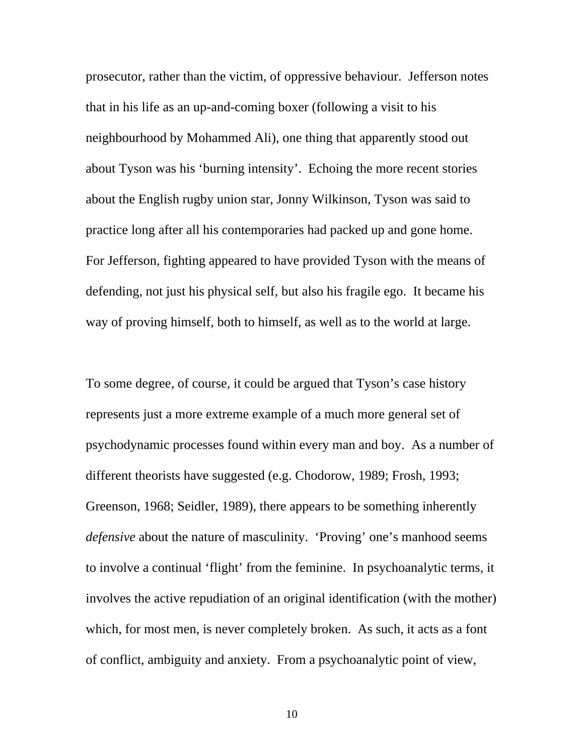prosecutor, rather than the victim, of oppressive behaviour. Jefferson notes that in his life as an up-and-coming boxer (following a visit to his neighbourhood by Mohammed Ali), one thing that apparently stood out about Tyson was his 'burning intensity'. Echoing the more recent stories about the English rugby union star, Jonny Wilkinson, Tyson was said to practice long after all his contemporaries had packed up and gone home. For Jefferson, fighting appeared to have provided Tyson with the means of defending, not just his physical self, but also his fragile ego. It became his way of proving himself, both to himself, as well as to the world at large.

To some degree, of course, it could be argued that Tyson's case history represents just a more extreme example of a much more general set of psychodynamic processes found within every man and boy. As a number of different theorists have suggested (e.g. Chodorow, 1989; Frosh, 1993; Greenson, 1968; Seidler, 1989), there appears to be something inherently *defensive* about the nature of masculinity. 'Proving' one's manhood seems to involve a continual 'flight' from the feminine. In psychoanalytic terms, it involves the active repudiation of an original identification (with the mother) which, for most men, is never completely broken. As such, it acts as a font of conflict, ambiguity and anxiety. From a psychoanalytic point of view,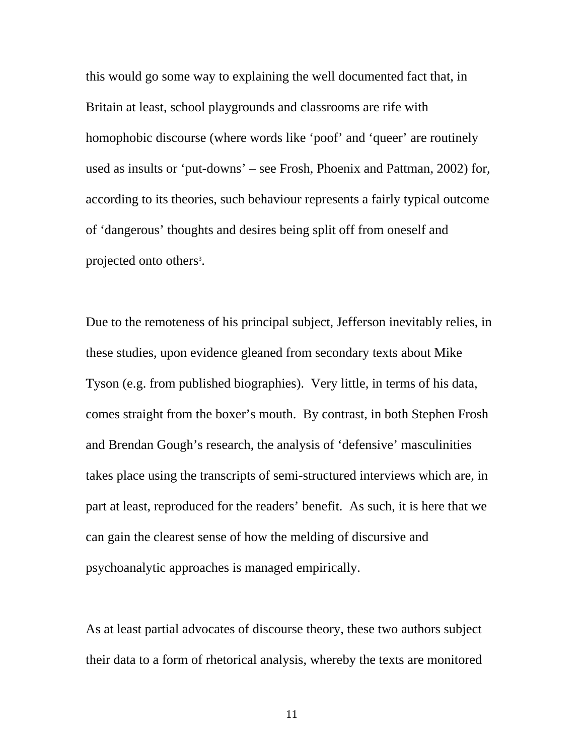this would go some way to explaining the well documented fact that, in Britain at least, school playgrounds and classrooms are rife with homophobic discourse (where words like 'poof' and 'queer' are routinely used as insults or 'put-downs' – see Frosh, Phoenix and Pattman, 2002) for, according to its theories, such behaviour represents a fairly typical outcome of 'dangerous' thoughts and desires being split off from oneself and projected onto others<sup>3</sup>.

Due to the remoteness of his principal subject, Jefferson inevitably relies, in these studies, upon evidence gleaned from secondary texts about Mike Tyson (e.g. from published biographies). Very little, in terms of his data, comes straight from the boxer's mouth. By contrast, in both Stephen Frosh and Brendan Gough's research, the analysis of 'defensive' masculinities takes place using the transcripts of semi-structured interviews which are, in part at least, reproduced for the readers' benefit. As such, it is here that we can gain the clearest sense of how the melding of discursive and psychoanalytic approaches is managed empirically.

As at least partial advocates of discourse theory, these two authors subject their data to a form of rhetorical analysis, whereby the texts are monitored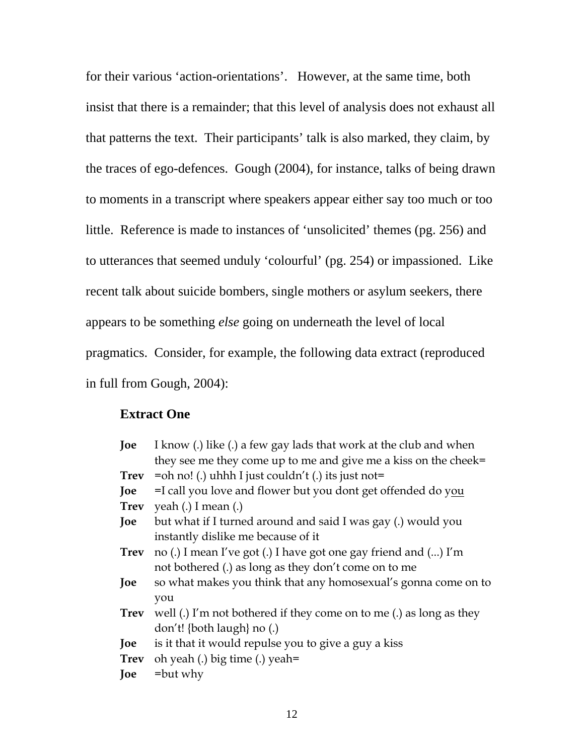for their various 'action-orientations'. However, at the same time, both insist that there is a remainder; that this level of analysis does not exhaust all that patterns the text. Their participants' talk is also marked, they claim, by the traces of ego-defences. Gough (2004), for instance, talks of being drawn to moments in a transcript where speakers appear either say too much or too little. Reference is made to instances of 'unsolicited' themes (pg. 256) and to utterances that seemed unduly 'colourful' (pg. 254) or impassioned. Like recent talk about suicide bombers, single mothers or asylum seekers, there appears to be something *else* going on underneath the level of local pragmatics. Consider, for example, the following data extract (reproduced in full from Gough, 2004):

# **Extract One**

| Joe         | I know (.) like (.) a few gay lads that work at the club and when   |
|-------------|---------------------------------------------------------------------|
|             | they see me they come up to me and give me a kiss on the cheek=     |
|             | <b>Trev</b> = oh no! (.) uhhh I just couldn't (.) its just not=     |
| Joe         | =I call you love and flower but you dont get offended do you        |
|             | <b>Trev</b> yeah (.) I mean (.)                                     |
| Joe         | but what if I turned around and said I was gay (.) would you        |
|             | instantly dislike me because of it                                  |
| <b>Trev</b> | no (.) I mean I've got (.) I have got one gay friend and () I'm     |
|             | not bothered (.) as long as they don't come on to me                |
| Joe         | so what makes you think that any homosexual's gonna come on to      |
|             | you                                                                 |
| <b>Trev</b> | well (.) I'm not bothered if they come on to me (.) as long as they |
|             | don't! {both laugh} no (.)                                          |
| Joe         | is it that it would repulse you to give a guy a kiss                |
|             | <b>Trev</b> oh yeah (.) big time (.) yeah=                          |
| Joe         | $=$ but why                                                         |
|             |                                                                     |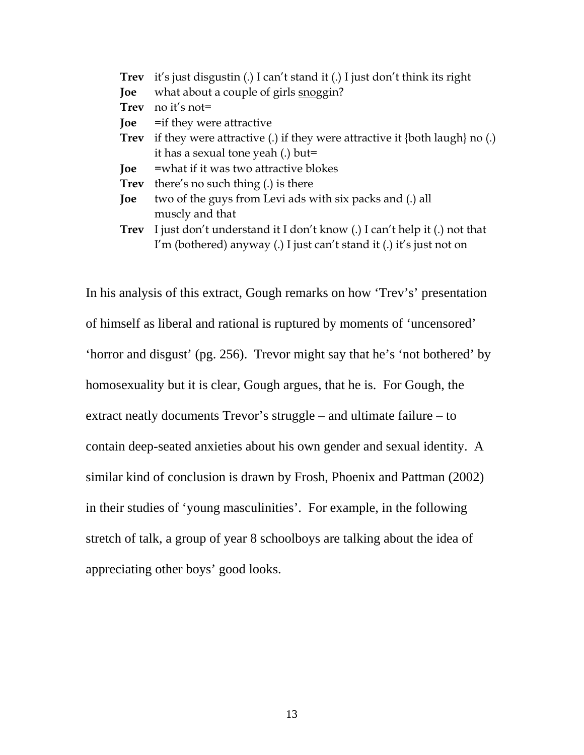| <b>Trev</b> | it's just disgustin (.) I can't stand it (.) I just don't think its right          |
|-------------|------------------------------------------------------------------------------------|
| Joe         | what about a couple of girls snoggin?                                              |
| <b>Trev</b> | no it's not=                                                                       |
| Joe         | = if they were attractive                                                          |
| <b>Trev</b> | if they were attractive (.) if they were attractive it $\{$ both laugh $\}$ no (.) |
|             | it has a sexual tone yeah (.) but=                                                 |
| Joe         | =what if it was two attractive blokes                                              |
| <b>Trev</b> | there's no such thing (.) is there                                                 |
| Joe         | two of the guys from Levi ads with six packs and (.) all                           |
|             | muscly and that                                                                    |
| Trev        | I just don't understand it I don't know (.) I can't help it (.) not that           |
|             | I'm (bothered) anyway (.) I just can't stand it (.) it's just not on               |

In his analysis of this extract, Gough remarks on how 'Trev's' presentation of himself as liberal and rational is ruptured by moments of 'uncensored' 'horror and disgust' (pg. 256). Trevor might say that he's 'not bothered' by homosexuality but it is clear, Gough argues, that he is. For Gough, the extract neatly documents Trevor's struggle – and ultimate failure – to contain deep-seated anxieties about his own gender and sexual identity. A similar kind of conclusion is drawn by Frosh, Phoenix and Pattman (2002) in their studies of 'young masculinities'. For example, in the following stretch of talk, a group of year 8 schoolboys are talking about the idea of appreciating other boys' good looks.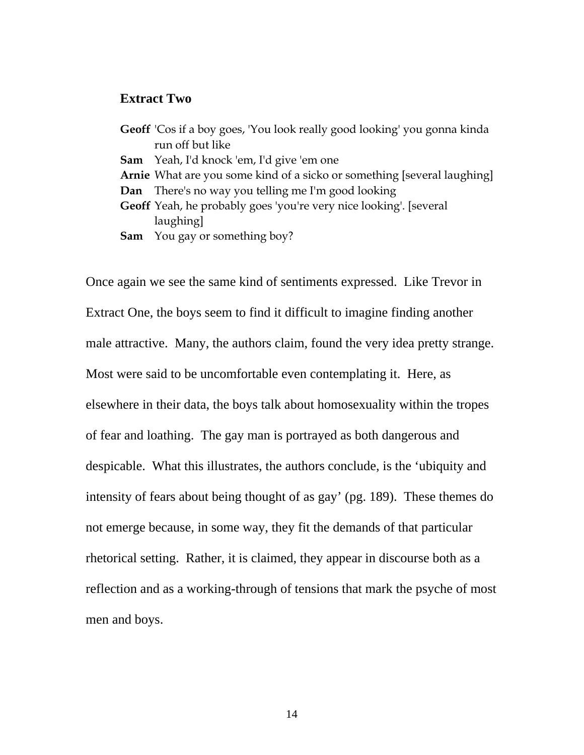#### **Extract Two**

**Geoff** 'Cos if a boy goes, 'You look really good looking' you gonna kinda run off but like **Sam** Yeah, I'd knock 'em, I'd give 'em one **Arnie** What are you some kind of a sicko or something [several laughing] **Dan** There's no way you telling me I'm good looking **Geoff** Yeah, he probably goes 'you're very nice looking'. [several laughing] **Sam** You gay or something boy?

Once again we see the same kind of sentiments expressed. Like Trevor in Extract One, the boys seem to find it difficult to imagine finding another male attractive. Many, the authors claim, found the very idea pretty strange. Most were said to be uncomfortable even contemplating it. Here, as elsewhere in their data, the boys talk about homosexuality within the tropes of fear and loathing. The gay man is portrayed as both dangerous and despicable. What this illustrates, the authors conclude, is the 'ubiquity and intensity of fears about being thought of as gay' (pg. 189). These themes do not emerge because, in some way, they fit the demands of that particular rhetorical setting. Rather, it is claimed, they appear in discourse both as a reflection and as a working-through of tensions that mark the psyche of most men and boys.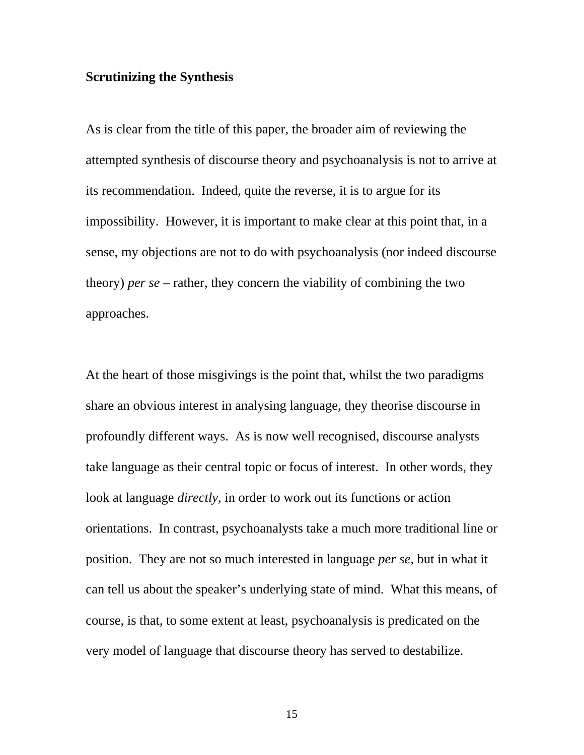# **Scrutinizing the Synthesis**

As is clear from the title of this paper, the broader aim of reviewing the attempted synthesis of discourse theory and psychoanalysis is not to arrive at its recommendation. Indeed, quite the reverse, it is to argue for its impossibility. However, it is important to make clear at this point that, in a sense, my objections are not to do with psychoanalysis (nor indeed discourse theory) *per se* – rather, they concern the viability of combining the two approaches.

At the heart of those misgivings is the point that, whilst the two paradigms share an obvious interest in analysing language, they theorise discourse in profoundly different ways. As is now well recognised, discourse analysts take language as their central topic or focus of interest. In other words, they look at language *directly*, in order to work out its functions or action orientations. In contrast, psychoanalysts take a much more traditional line or position. They are not so much interested in language *per se*, but in what it can tell us about the speaker's underlying state of mind. What this means, of course, is that, to some extent at least, psychoanalysis is predicated on the very model of language that discourse theory has served to destabilize.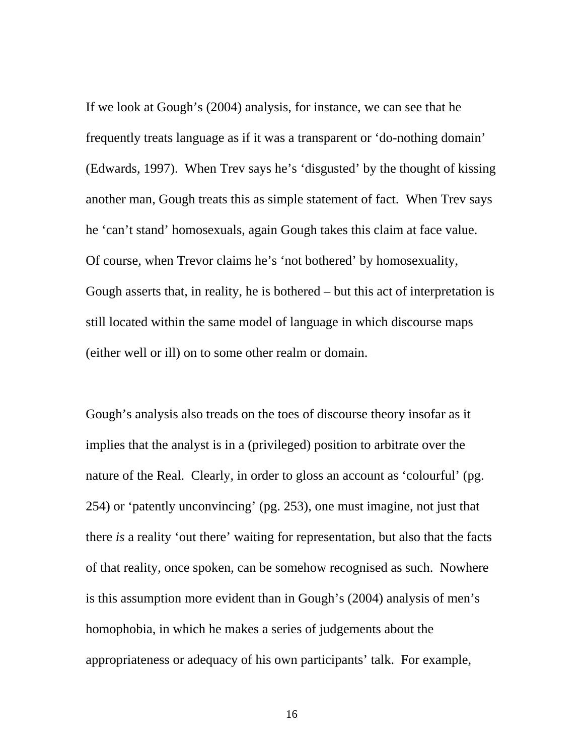If we look at Gough's (2004) analysis, for instance, we can see that he frequently treats language as if it was a transparent or 'do-nothing domain' (Edwards, 1997). When Trev says he's 'disgusted' by the thought of kissing another man, Gough treats this as simple statement of fact. When Trev says he 'can't stand' homosexuals, again Gough takes this claim at face value. Of course, when Trevor claims he's 'not bothered' by homosexuality, Gough asserts that, in reality, he is bothered – but this act of interpretation is still located within the same model of language in which discourse maps (either well or ill) on to some other realm or domain.

Gough's analysis also treads on the toes of discourse theory insofar as it implies that the analyst is in a (privileged) position to arbitrate over the nature of the Real. Clearly, in order to gloss an account as 'colourful' (pg. 254) or 'patently unconvincing' (pg. 253), one must imagine, not just that there *is* a reality 'out there' waiting for representation, but also that the facts of that reality, once spoken, can be somehow recognised as such. Nowhere is this assumption more evident than in Gough's (2004) analysis of men's homophobia, in which he makes a series of judgements about the appropriateness or adequacy of his own participants' talk. For example,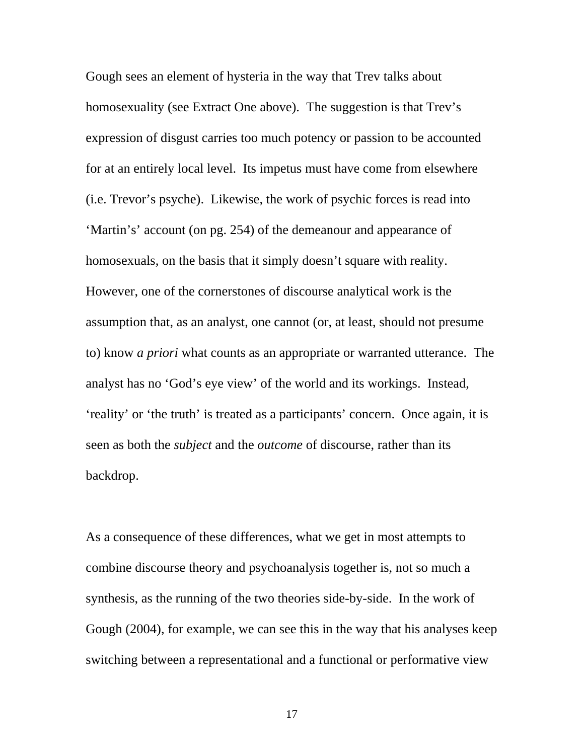Gough sees an element of hysteria in the way that Trev talks about homosexuality (see Extract One above). The suggestion is that Trev's expression of disgust carries too much potency or passion to be accounted for at an entirely local level. Its impetus must have come from elsewhere (i.e. Trevor's psyche). Likewise, the work of psychic forces is read into 'Martin's' account (on pg. 254) of the demeanour and appearance of homosexuals, on the basis that it simply doesn't square with reality. However, one of the cornerstones of discourse analytical work is the assumption that, as an analyst, one cannot (or, at least, should not presume to) know *a priori* what counts as an appropriate or warranted utterance. The analyst has no 'God's eye view' of the world and its workings. Instead, 'reality' or 'the truth' is treated as a participants' concern. Once again, it is seen as both the *subject* and the *outcome* of discourse, rather than its backdrop.

As a consequence of these differences, what we get in most attempts to combine discourse theory and psychoanalysis together is, not so much a synthesis, as the running of the two theories side-by-side. In the work of Gough (2004), for example, we can see this in the way that his analyses keep switching between a representational and a functional or performative view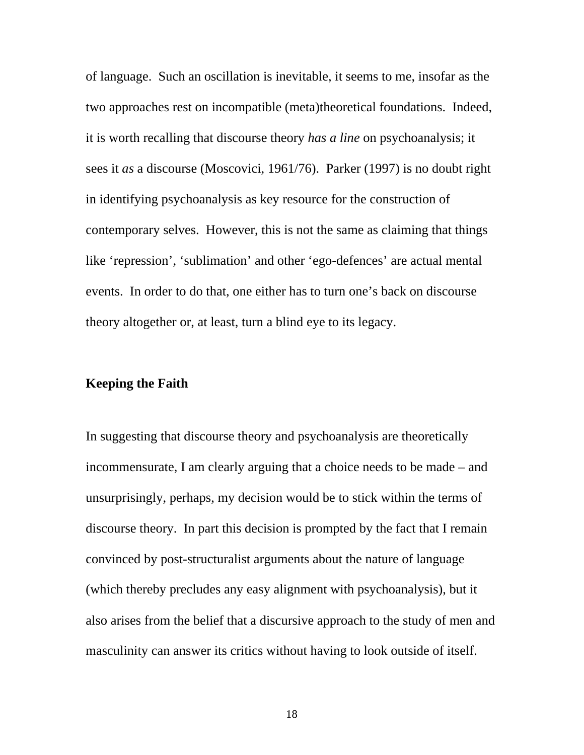of language. Such an oscillation is inevitable, it seems to me, insofar as the two approaches rest on incompatible (meta)theoretical foundations. Indeed, it is worth recalling that discourse theory *has a line* on psychoanalysis; it sees it *as* a discourse (Moscovici, 1961/76). Parker (1997) is no doubt right in identifying psychoanalysis as key resource for the construction of contemporary selves. However, this is not the same as claiming that things like 'repression', 'sublimation' and other 'ego-defences' are actual mental events. In order to do that, one either has to turn one's back on discourse theory altogether or, at least, turn a blind eye to its legacy.

## **Keeping the Faith**

In suggesting that discourse theory and psychoanalysis are theoretically incommensurate, I am clearly arguing that a choice needs to be made – and unsurprisingly, perhaps, my decision would be to stick within the terms of discourse theory. In part this decision is prompted by the fact that I remain convinced by post-structuralist arguments about the nature of language (which thereby precludes any easy alignment with psychoanalysis), but it also arises from the belief that a discursive approach to the study of men and masculinity can answer its critics without having to look outside of itself.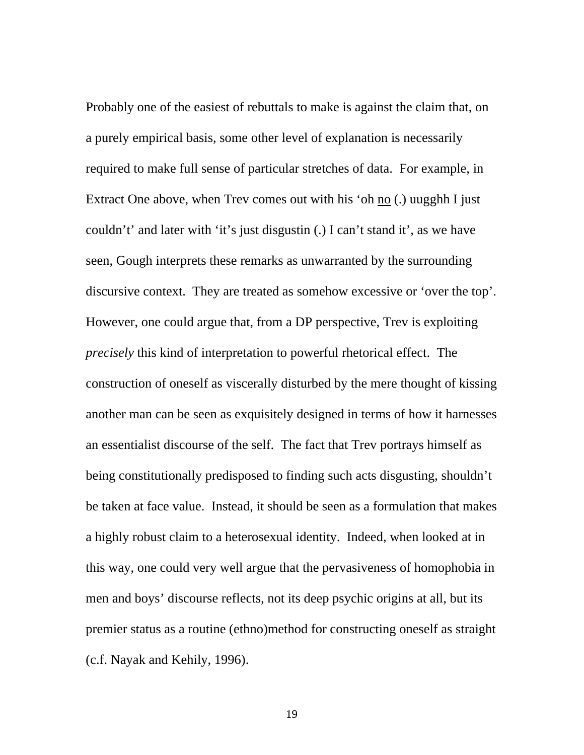Probably one of the easiest of rebuttals to make is against the claim that, on a purely empirical basis, some other level of explanation is necessarily required to make full sense of particular stretches of data. For example, in Extract One above, when Trev comes out with his 'oh no (.) uugghh I just couldn't' and later with 'it's just disgustin (.) I can't stand it', as we have seen, Gough interprets these remarks as unwarranted by the surrounding discursive context. They are treated as somehow excessive or 'over the top'. However, one could argue that, from a DP perspective, Trev is exploiting *precisely* this kind of interpretation to powerful rhetorical effect. The construction of oneself as viscerally disturbed by the mere thought of kissing another man can be seen as exquisitely designed in terms of how it harnesses an essentialist discourse of the self. The fact that Trev portrays himself as being constitutionally predisposed to finding such acts disgusting, shouldn't be taken at face value. Instead, it should be seen as a formulation that makes a highly robust claim to a heterosexual identity. Indeed, when looked at in this way, one could very well argue that the pervasiveness of homophobia in men and boys' discourse reflects, not its deep psychic origins at all, but its premier status as a routine (ethno)method for constructing oneself as straight (c.f. Nayak and Kehily, 1996).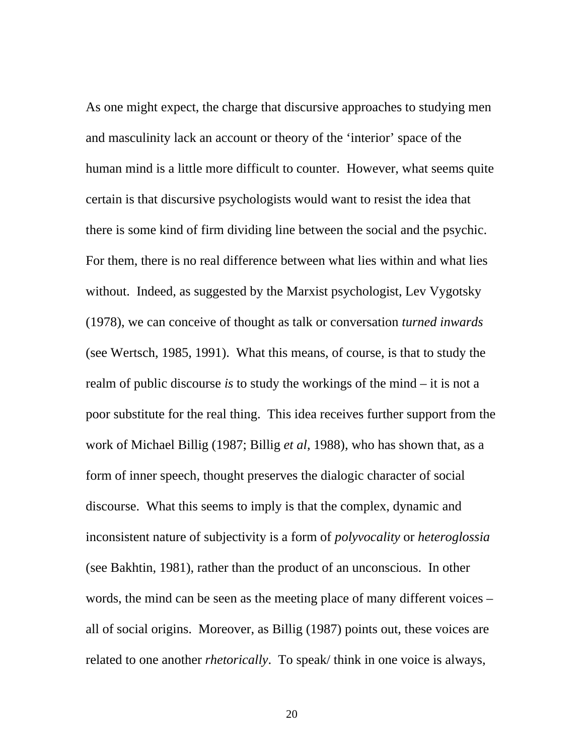As one might expect, the charge that discursive approaches to studying men and masculinity lack an account or theory of the 'interior' space of the human mind is a little more difficult to counter. However, what seems quite certain is that discursive psychologists would want to resist the idea that there is some kind of firm dividing line between the social and the psychic. For them, there is no real difference between what lies within and what lies without. Indeed, as suggested by the Marxist psychologist, Lev Vygotsky (1978), we can conceive of thought as talk or conversation *turned inwards* (see Wertsch, 1985, 1991). What this means, of course, is that to study the realm of public discourse *is* to study the workings of the mind – it is not a poor substitute for the real thing. This idea receives further support from the work of Michael Billig (1987; Billig *et al*, 1988), who has shown that, as a form of inner speech, thought preserves the dialogic character of social discourse. What this seems to imply is that the complex, dynamic and inconsistent nature of subjectivity is a form of *polyvocality* or *heteroglossia* (see Bakhtin, 1981), rather than the product of an unconscious. In other words, the mind can be seen as the meeting place of many different voices – all of social origins. Moreover, as Billig (1987) points out, these voices are related to one another *rhetorically*. To speak/ think in one voice is always,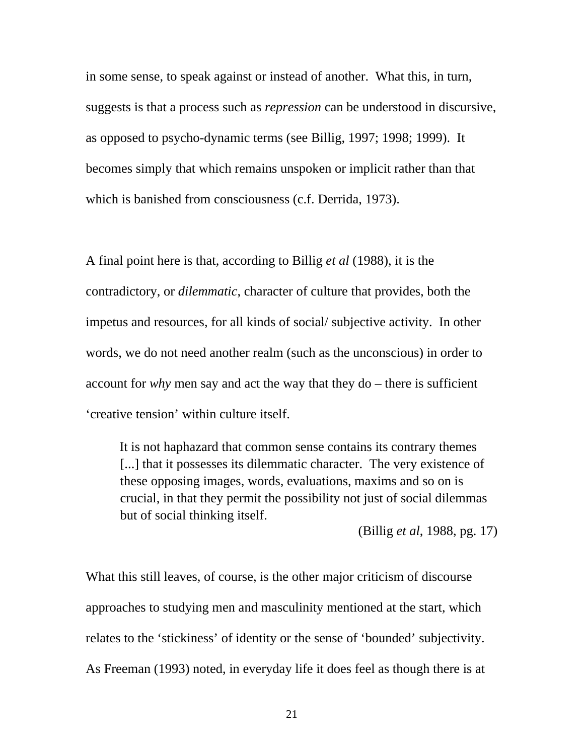in some sense, to speak against or instead of another. What this, in turn, suggests is that a process such as *repression* can be understood in discursive, as opposed to psycho-dynamic terms (see Billig, 1997; 1998; 1999). It becomes simply that which remains unspoken or implicit rather than that which is banished from consciousness (c.f. Derrida, 1973).

A final point here is that, according to Billig *et al* (1988), it is the contradictory, or *dilemmatic*, character of culture that provides, both the impetus and resources, for all kinds of social/ subjective activity. In other words, we do not need another realm (such as the unconscious) in order to account for *why* men say and act the way that they do – there is sufficient 'creative tension' within culture itself.

It is not haphazard that common sense contains its contrary themes [...] that it possesses its dilemmatic character. The very existence of these opposing images, words, evaluations, maxims and so on is crucial, in that they permit the possibility not just of social dilemmas but of social thinking itself.

(Billig *et al*, 1988, pg. 17)

What this still leaves, of course, is the other major criticism of discourse approaches to studying men and masculinity mentioned at the start, which relates to the 'stickiness' of identity or the sense of 'bounded' subjectivity. As Freeman (1993) noted, in everyday life it does feel as though there is at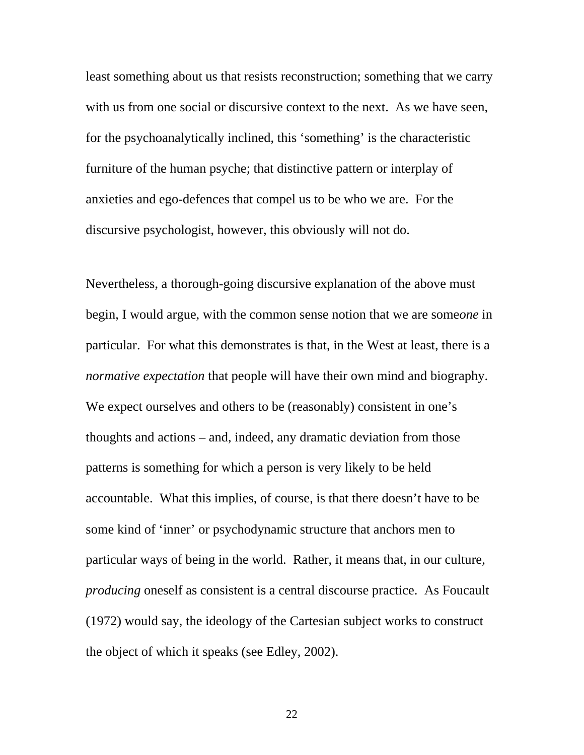least something about us that resists reconstruction; something that we carry with us from one social or discursive context to the next. As we have seen, for the psychoanalytically inclined, this 'something' is the characteristic furniture of the human psyche; that distinctive pattern or interplay of anxieties and ego-defences that compel us to be who we are. For the discursive psychologist, however, this obviously will not do.

Nevertheless, a thorough-going discursive explanation of the above must begin, I would argue, with the common sense notion that we are some*one* in particular. For what this demonstrates is that, in the West at least, there is a *normative expectation* that people will have their own mind and biography. We expect ourselves and others to be (reasonably) consistent in one's thoughts and actions – and, indeed, any dramatic deviation from those patterns is something for which a person is very likely to be held accountable. What this implies, of course, is that there doesn't have to be some kind of 'inner' or psychodynamic structure that anchors men to particular ways of being in the world. Rather, it means that, in our culture, *producing* oneself as consistent is a central discourse practice. As Foucault (1972) would say, the ideology of the Cartesian subject works to construct the object of which it speaks (see Edley, 2002).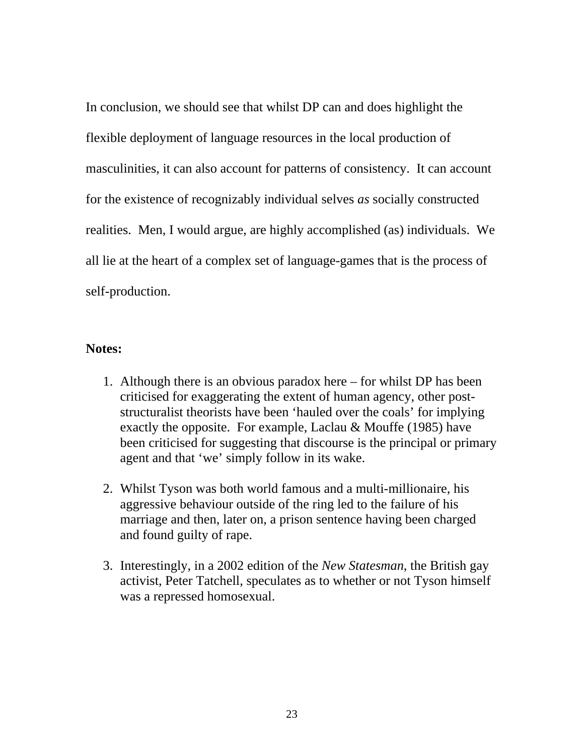In conclusion, we should see that whilst DP can and does highlight the flexible deployment of language resources in the local production of masculinities, it can also account for patterns of consistency. It can account for the existence of recognizably individual selves *as* socially constructed realities. Men, I would argue, are highly accomplished (as) individuals. We all lie at the heart of a complex set of language-games that is the process of self-production.

## **Notes:**

- 1. Although there is an obvious paradox here for whilst DP has been criticised for exaggerating the extent of human agency, other poststructuralist theorists have been 'hauled over the coals' for implying exactly the opposite.For example, Laclau & Mouffe (1985) have been criticised for suggesting that discourse is the principal or primary agent and that 'we' simply follow in its wake.
- 2. Whilst Tyson was both world famous and a multi-millionaire, his aggressive behaviour outside of the ring led to the failure of his marriage and then, later on, a prison sentence having been charged and found guilty of rape.
- 3. Interestingly, in a 2002 edition of the *New Statesman*, the British gay activist, Peter Tatchell, speculates as to whether or not Tyson himself was a repressed homosexual.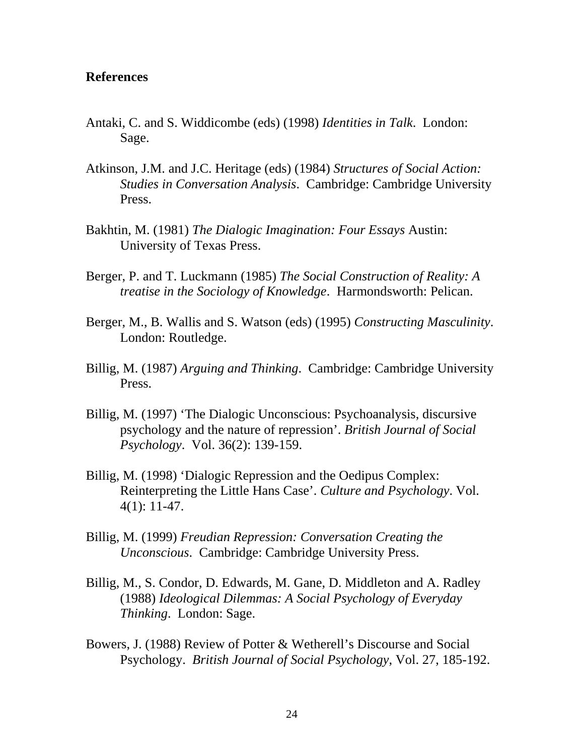## **References**

- Antaki, C. and S. Widdicombe (eds) (1998) *Identities in Talk*. London: Sage.
- Atkinson, J.M. and J.C. Heritage (eds) (1984) *Structures of Social Action: Studies in Conversation Analysis*. Cambridge: Cambridge University Press.
- Bakhtin, M. (1981) *The Dialogic Imagination: Four Essays* Austin: University of Texas Press.
- Berger, P. and T. Luckmann (1985) *The Social Construction of Reality: A treatise in the Sociology of Knowledge*. Harmondsworth: Pelican.
- Berger, M., B. Wallis and S. Watson (eds) (1995) *Constructing Masculinity*. London: Routledge.
- Billig, M. (1987) *Arguing and Thinking*. Cambridge: Cambridge University Press.
- Billig, M. (1997) 'The Dialogic Unconscious: Psychoanalysis, discursive psychology and the nature of repression'. *British Journal of Social Psychology*. Vol. 36(2): 139-159.
- Billig, M. (1998) 'Dialogic Repression and the Oedipus Complex: Reinterpreting the Little Hans Case'. *Culture and Psychology*. Vol. 4(1): 11-47.
- Billig, M. (1999) *Freudian Repression: Conversation Creating the Unconscious*. Cambridge: Cambridge University Press.
- Billig, M., S. Condor, D. Edwards, M. Gane, D. Middleton and A. Radley (1988) *Ideological Dilemmas: A Social Psychology of Everyday Thinking*. London: Sage.
- Bowers, J. (1988) Review of Potter & Wetherell's Discourse and Social Psychology. *British Journal of Social Psychology*, Vol. 27, 185-192.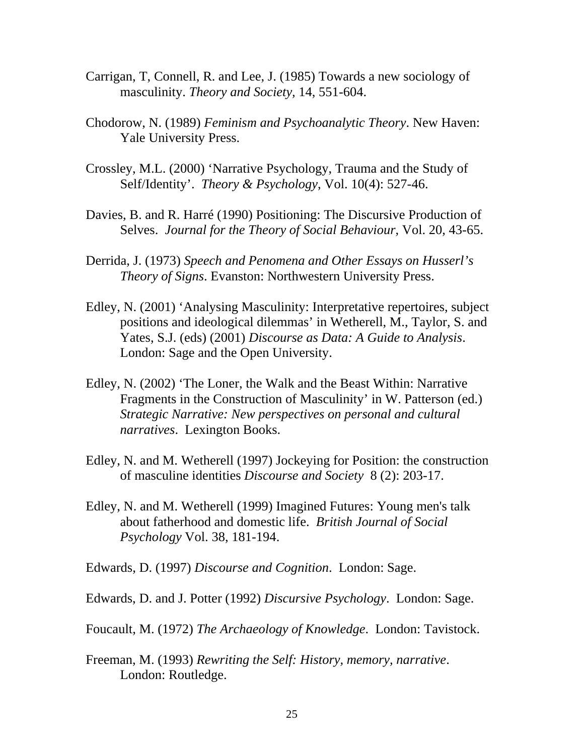- Carrigan, T, Connell, R. and Lee, J. (1985) Towards a new sociology of masculinity. *Theory and Society,* 14, 551-604.
- Chodorow, N. (1989) *Feminism and Psychoanalytic Theory*. New Haven: Yale University Press.
- Crossley, M.L. (2000) 'Narrative Psychology, Trauma and the Study of Self/Identity'. *Theory & Psychology*, Vol. 10(4): 527-46.
- Davies, B. and R. Harré (1990) Positioning: The Discursive Production of Selves. *Journal for the Theory of Social Behaviour*, Vol. 20, 43-65.
- Derrida, J. (1973) *Speech and Penomena and Other Essays on Husserl's Theory of Signs*. Evanston: Northwestern University Press.
- Edley, N. (2001) 'Analysing Masculinity: Interpretative repertoires, subject positions and ideological dilemmas' in Wetherell, M., Taylor, S. and Yates, S.J. (eds) (2001) *Discourse as Data: A Guide to Analysis*. London: Sage and the Open University.
- Edley, N. (2002) 'The Loner, the Walk and the Beast Within: Narrative Fragments in the Construction of Masculinity' in W. Patterson (ed.) *Strategic Narrative: New perspectives on personal and cultural narratives*. Lexington Books.
- Edley, N. and M. Wetherell (1997) Jockeying for Position: the construction of masculine identities *Discourse and Society* 8 (2): 203-17.
- Edley, N. and M. Wetherell (1999) Imagined Futures: Young men's talk about fatherhood and domestic life. *British Journal of Social Psychology* Vol. 38, 181-194.
- Edwards, D. (1997) *Discourse and Cognition*. London: Sage.
- Edwards, D. and J. Potter (1992) *Discursive Psychology*. London: Sage.
- Foucault, M. (1972) *The Archaeology of Knowledge*. London: Tavistock.
- Freeman, M. (1993) *Rewriting the Self: History, memory, narrative*. London: Routledge.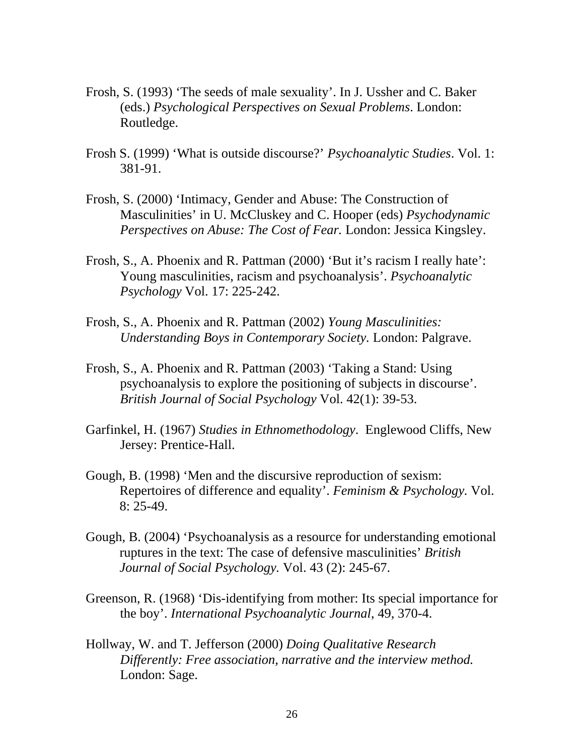- Frosh, S. (1993) 'The seeds of male sexuality'. In J. Ussher and C. Baker (eds.) *Psychological Perspectives on Sexual Problems*. London: Routledge.
- Frosh S. (1999) 'What is outside discourse?' *Psychoanalytic Studies*. Vol. 1: 381-91.
- Frosh, S. (2000) 'Intimacy, Gender and Abuse: The Construction of Masculinities' in U. McCluskey and C. Hooper (eds) *Psychodynamic Perspectives on Abuse: The Cost of Fear.* London: Jessica Kingsley.
- Frosh, S., A. Phoenix and R. Pattman (2000) 'But it's racism I really hate': Young masculinities, racism and psychoanalysis'. *Psychoanalytic Psychology* Vol. 17: 225-242.
- Frosh, S., A. Phoenix and R. Pattman (2002) *Young Masculinities: Understanding Boys in Contemporary Society.* London: Palgrave.
- Frosh, S., A. Phoenix and R. Pattman (2003) 'Taking a Stand: Using psychoanalysis to explore the positioning of subjects in discourse'. *British Journal of Social Psychology* Vol. 42(1): 39-53.
- Garfinkel, H. (1967) *Studies in Ethnomethodology*. Englewood Cliffs, New Jersey: Prentice-Hall.
- Gough, B. (1998) 'Men and the discursive reproduction of sexism: Repertoires of difference and equality'. *Feminism & Psychology.* Vol. 8: 25-49.
- Gough, B. (2004) 'Psychoanalysis as a resource for understanding emotional ruptures in the text: The case of defensive masculinities' *British Journal of Social Psychology.* Vol. 43 (2): 245-67.
- Greenson, R. (1968) 'Dis-identifying from mother: Its special importance for the boy'. *International Psychoanalytic Journal*, 49, 370-4.
- Hollway, W. and T. Jefferson (2000) *Doing Qualitative Research Differently: Free association, narrative and the interview method.* London: Sage.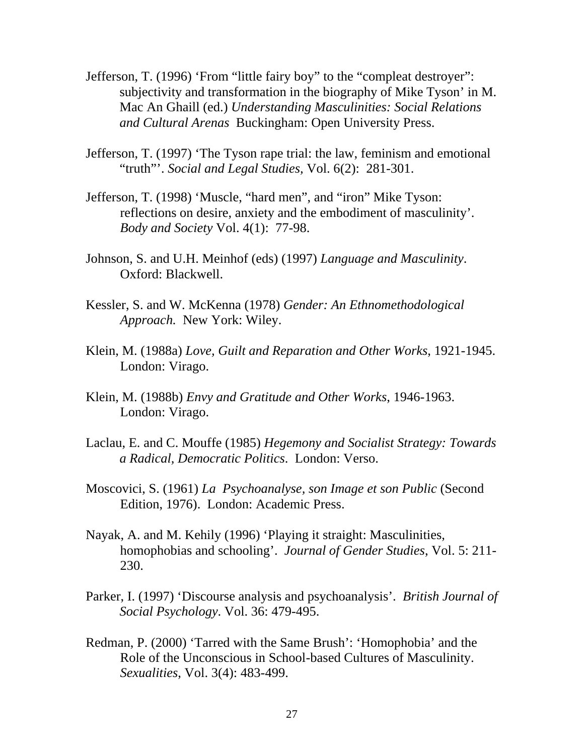- Jefferson, T. (1996) 'From "little fairy boy" to the "compleat destroyer": subjectivity and transformation in the biography of Mike Tyson' in M. Mac An Ghaill (ed.) *Understanding Masculinities: Social Relations and Cultural Arenas* Buckingham: Open University Press.
- Jefferson, T. (1997) 'The Tyson rape trial: the law, feminism and emotional "truth"'. *Social and Legal Studies,* Vol. 6(2): 281-301.
- Jefferson, T. (1998) 'Muscle, "hard men", and "iron" Mike Tyson: reflections on desire, anxiety and the embodiment of masculinity'. *Body and Society* Vol. 4(1): 77-98.
- Johnson, S. and U.H. Meinhof (eds) (1997) *Language and Masculinity*. Oxford: Blackwell.
- Kessler, S. and W. McKenna (1978) *Gender: An Ethnomethodological Approach.* New York: Wiley.
- Klein, M. (1988a) *Love, Guilt and Reparation and Other Works*, 1921-1945. London: Virago.
- Klein, M. (1988b) *Envy and Gratitude and Other Works*, 1946-1963. London: Virago.
- Laclau, E. and C. Mouffe (1985) *Hegemony and Socialist Strategy: Towards a Radical, Democratic Politics*. London: Verso.
- Moscovici, S. (1961) *La Psychoanalyse, son Image et son Public* (Second Edition, 1976). London: Academic Press.
- Nayak, A. and M. Kehily (1996) 'Playing it straight: Masculinities, homophobias and schooling'. *Journal of Gender Studies*, Vol. 5: 211- 230.
- Parker, I. (1997) 'Discourse analysis and psychoanalysis'. *British Journal of Social Psychology*. Vol. 36: 479-495.
- Redman, P. (2000) 'Tarred with the Same Brush': 'Homophobia' and the Role of the Unconscious in School-based Cultures of Masculinity. *Sexualities*, Vol. 3(4): 483-499.